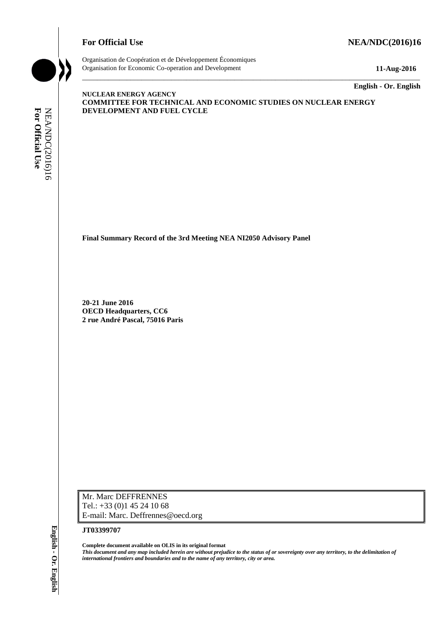## **For Official Use Set 2016)16 NEA/NDC(2016)16**



Organisation de Coopération et de Développement Économiques Organisation for Economic Co-operation and Development **11-Aug-2016**

\_\_\_\_\_\_\_\_\_\_\_\_\_ **English - Or. English**

#### **NUCLEAR ENERGY AGENCY COMMITTEE FOR TECHNICAL AND ECONOMIC STUDIES ON NUCLEAR ENERGY DEVELOPMENT AND FUEL CYCLE**

\_\_\_\_\_\_\_\_\_\_\_\_\_\_\_\_\_\_\_\_\_\_\_\_\_\_\_\_\_\_\_\_\_\_\_\_\_\_\_\_\_\_\_\_\_\_\_\_\_\_\_\_\_\_\_\_\_\_\_\_\_\_\_\_\_\_\_\_\_\_\_\_\_\_\_\_\_\_\_\_\_\_\_\_\_\_\_\_\_\_\_

**Final Summary Record of the 3rd Meeting NEA NI2050 Advisory Panel**

**20-21 June 2016 OECD Headquarters, CC6 2 rue André Pascal, 75016 Paris**

Mr. Marc DEFFRENNES Tel.: +33 (0)1 45 24 10 68 E-mail: Marc. Deffrennes@oecd.org

#### **JT03399707**

**Complete document available on OLIS in its original format** *This document and any map included herein are without prejudice to the status of or sovereignty over any territory, to the delimitation of*  **international formulational from the name of any territory and boundaries and to the name of any territory, city or area.**<br> **For Official User André Pascal, 75016 Paris**<br> **OFFICIAL USE** OF OFFICIAL USE<br>
2. **The André Pasc**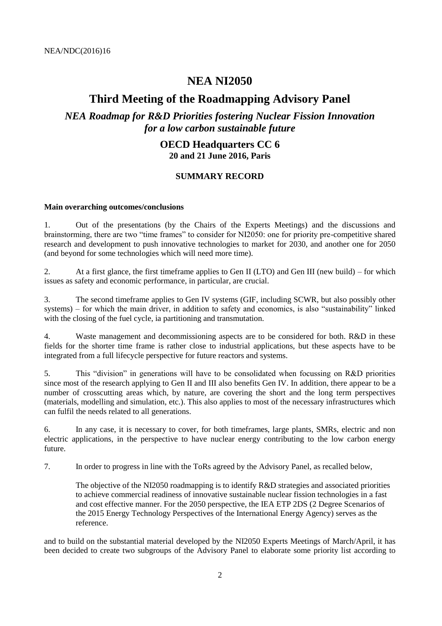# **NEA NI2050**

# **Third Meeting of the Roadmapping Advisory Panel**

# *NEA Roadmap for R&D Priorities fostering Nuclear Fission Innovation for a low carbon sustainable future*

## **OECD Headquarters CC 6 20 and 21 June 2016, Paris**

# **SUMMARY RECORD**

#### **Main overarching outcomes/conclusions**

1. Out of the presentations (by the Chairs of the Experts Meetings) and the discussions and brainstorming, there are two "time frames" to consider for NI2050: one for priority pre-competitive shared research and development to push innovative technologies to market for 2030, and another one for 2050 (and beyond for some technologies which will need more time).

2. At a first glance, the first timeframe applies to Gen II (LTO) and Gen III (new build) – for which issues as safety and economic performance, in particular, are crucial.

3. The second timeframe applies to Gen IV systems (GIF, including SCWR, but also possibly other systems) – for which the main driver, in addition to safety and economics, is also "sustainability" linked with the closing of the fuel cycle, ia partitioning and transmutation.

4. Waste management and decommissioning aspects are to be considered for both. R&D in these fields for the shorter time frame is rather close to industrial applications, but these aspects have to be integrated from a full lifecycle perspective for future reactors and systems.

5. This "division" in generations will have to be consolidated when focussing on R&D priorities since most of the research applying to Gen II and III also benefits Gen IV. In addition, there appear to be a number of crosscutting areas which, by nature, are covering the short and the long term perspectives (materials, modelling and simulation, etc.). This also applies to most of the necessary infrastructures which can fulfil the needs related to all generations.

6. In any case, it is necessary to cover, for both timeframes, large plants, SMRs, electric and non electric applications, in the perspective to have nuclear energy contributing to the low carbon energy future.

7. In order to progress in line with the ToRs agreed by the Advisory Panel, as recalled below,

The objective of the NI2050 roadmapping is to identify R&D strategies and associated priorities to achieve commercial readiness of innovative sustainable nuclear fission technologies in a fast and cost effective manner. For the 2050 perspective, the IEA ETP 2DS (2 Degree Scenarios of the 2015 Energy Technology Perspectives of the International Energy Agency) serves as the reference.

and to build on the substantial material developed by the NI2050 Experts Meetings of March/April, it has been decided to create two subgroups of the Advisory Panel to elaborate some priority list according to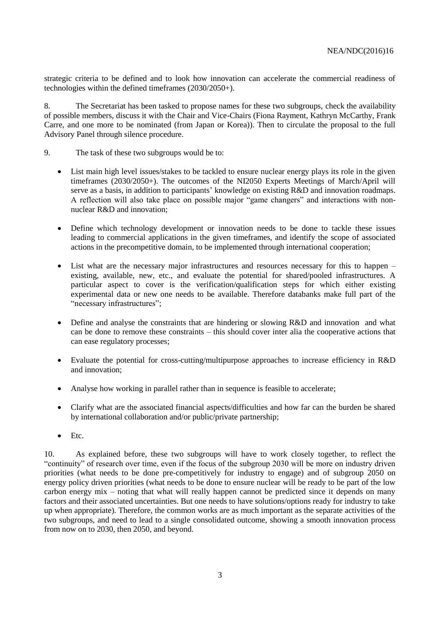strategic criteria to be defined and to look how innovation can accelerate the commercial readiness of technologies within the defined timeframes (2030/2050+).

8. The Secretariat has been tasked to propose names for these two subgroups, check the availability of possible members, discuss it with the Chair and Vice-Chairs (Fiona Rayment, Kathryn McCarthy, Frank Carre, and one more to be nominated (from Japan or Korea)). Then to circulate the proposal to the full Advisory Panel through silence procedure.

- 9. The task of these two subgroups would be to:
	- List main high level issues/stakes to be tackled to ensure nuclear energy plays its role in the given timeframes (2030/2050+). The outcomes of the NI2050 Experts Meetings of March/April will serve as a basis, in addition to participants' knowledge on existing R&D and innovation roadmaps. A reflection will also take place on possible major "game changers" and interactions with nonnuclear R&D and innovation;
	- Define which technology development or innovation needs to be done to tackle these issues leading to commercial applications in the given timeframes, and identify the scope of associated actions in the precompetitive domain, to be implemented through international cooperation;
	- List what are the necessary major infrastructures and resources necessary for this to happen existing, available, new, etc., and evaluate the potential for shared/pooled infrastructures. A particular aspect to cover is the verification/qualification steps for which either existing experimental data or new one needs to be available. Therefore databanks make full part of the "necessary infrastructures";
	- Define and analyse the constraints that are hindering or slowing R&D and innovation and what can be done to remove these constraints – this should cover inter alia the cooperative actions that can ease regulatory processes;
	- Evaluate the potential for cross-cutting/multipurpose approaches to increase efficiency in R&D and innovation;
	- Analyse how working in parallel rather than in sequence is feasible to accelerate;
	- Clarify what are the associated financial aspects/difficulties and how far can the burden be shared by international collaboration and/or public/private partnership;
	- $\bullet$  Etc.

10. As explained before, these two subgroups will have to work closely together, to reflect the "continuity" of research over time, even if the focus of the subgroup 2030 will be more on industry driven priorities (what needs to be done pre-competitively for industry to engage) and of subgroup 2050 on energy policy driven priorities (what needs to be done to ensure nuclear will be ready to be part of the low carbon energy mix – noting that what will really happen cannot be predicted since it depends on many factors and their associated uncertainties. But one needs to have solutions/options ready for industry to take up when appropriate). Therefore, the common works are as much important as the separate activities of the two subgroups, and need to lead to a single consolidated outcome, showing a smooth innovation process from now on to 2030, then 2050, and beyond.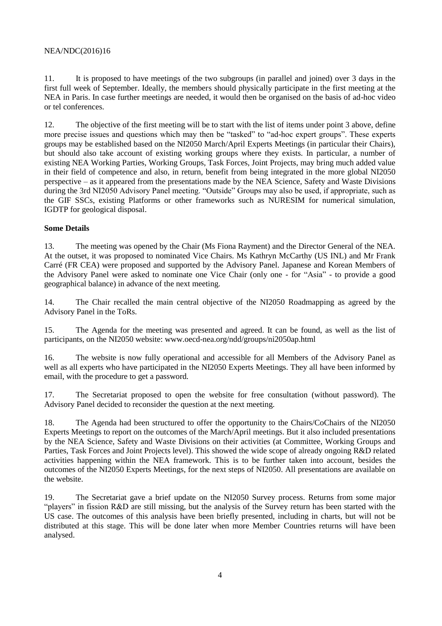11. It is proposed to have meetings of the two subgroups (in parallel and joined) over 3 days in the first full week of September. Ideally, the members should physically participate in the first meeting at the NEA in Paris. In case further meetings are needed, it would then be organised on the basis of ad-hoc video or tel conferences.

12. The objective of the first meeting will be to start with the list of items under point 3 above, define more precise issues and questions which may then be "tasked" to "ad-hoc expert groups". These experts groups may be established based on the NI2050 March/April Experts Meetings (in particular their Chairs), but should also take account of existing working groups where they exists. In particular, a number of existing NEA Working Parties, Working Groups, Task Forces, Joint Projects, may bring much added value in their field of competence and also, in return, benefit from being integrated in the more global NI2050 perspective – as it appeared from the presentations made by the NEA Science, Safety and Waste Divisions during the 3rd NI2050 Advisory Panel meeting. "Outside" Groups may also be used, if appropriate, such as the GIF SSCs, existing Platforms or other frameworks such as NURESIM for numerical simulation, IGDTP for geological disposal.

### **Some Details**

13. The meeting was opened by the Chair (Ms Fiona Rayment) and the Director General of the NEA. At the outset, it was proposed to nominated Vice Chairs. Ms Kathryn McCarthy (US INL) and Mr Frank Carré (FR CEA) were proposed and supported by the Advisory Panel. Japanese and Korean Members of the Advisory Panel were asked to nominate one Vice Chair (only one - for "Asia" - to provide a good geographical balance) in advance of the next meeting.

14. The Chair recalled the main central objective of the NI2050 Roadmapping as agreed by the Advisory Panel in the ToRs.

15. The Agenda for the meeting was presented and agreed. It can be found, as well as the list of participants, on the NI2050 website: www.oecd-nea.org/ndd/groups/ni2050ap.html

16. The website is now fully operational and accessible for all Members of the Advisory Panel as well as all experts who have participated in the NI2050 Experts Meetings. They all have been informed by email, with the procedure to get a password.

17. The Secretariat proposed to open the website for free consultation (without password). The Advisory Panel decided to reconsider the question at the next meeting.

18. The Agenda had been structured to offer the opportunity to the Chairs/CoChairs of the NI2050 Experts Meetings to report on the outcomes of the March/April meetings. But it also included presentations by the NEA Science, Safety and Waste Divisions on their activities (at Committee, Working Groups and Parties, Task Forces and Joint Projects level). This showed the wide scope of already ongoing R&D related activities happening within the NEA framework. This is to be further taken into account, besides the outcomes of the NI2050 Experts Meetings, for the next steps of NI2050. All presentations are available on the website.

19. The Secretariat gave a brief update on the NI2050 Survey process. Returns from some major "players" in fission R&D are still missing, but the analysis of the Survey return has been started with the US case. The outcomes of this analysis have been briefly presented, including in charts, but will not be distributed at this stage. This will be done later when more Member Countries returns will have been analysed.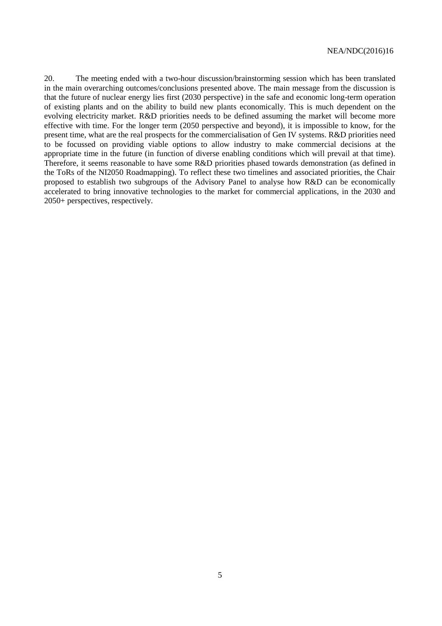20. The meeting ended with a two-hour discussion/brainstorming session which has been translated in the main overarching outcomes/conclusions presented above. The main message from the discussion is that the future of nuclear energy lies first (2030 perspective) in the safe and economic long-term operation of existing plants and on the ability to build new plants economically. This is much dependent on the evolving electricity market. R&D priorities needs to be defined assuming the market will become more effective with time. For the longer term (2050 perspective and beyond), it is impossible to know, for the present time, what are the real prospects for the commercialisation of Gen IV systems. R&D priorities need to be focussed on providing viable options to allow industry to make commercial decisions at the appropriate time in the future (in function of diverse enabling conditions which will prevail at that time). Therefore, it seems reasonable to have some R&D priorities phased towards demonstration (as defined in the ToRs of the NI2050 Roadmapping). To reflect these two timelines and associated priorities, the Chair proposed to establish two subgroups of the Advisory Panel to analyse how R&D can be economically accelerated to bring innovative technologies to the market for commercial applications, in the 2030 and 2050+ perspectives, respectively.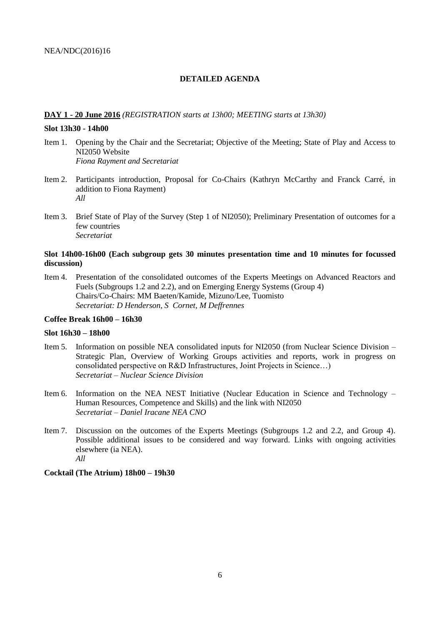#### **DETAILED AGENDA**

#### **DAY 1 - 20 June 2016** *(REGISTRATION starts at 13h00; MEETING starts at 13h30)*

#### **Slot 13h30 - 14h00**

- Item 1. Opening by the Chair and the Secretariat; Objective of the Meeting; State of Play and Access to NI2050 Website *Fiona Rayment and Secretariat*
- Item 2. Participants introduction, Proposal for Co-Chairs (Kathryn McCarthy and Franck Carré, in addition to Fiona Rayment) *All*
- Item 3. Brief State of Play of the Survey (Step 1 of NI2050); Preliminary Presentation of outcomes for a few countries *Secretariat*

#### **Slot 14h00-16h00 (Each subgroup gets 30 minutes presentation time and 10 minutes for focussed discussion)**

Item 4. Presentation of the consolidated outcomes of the Experts Meetings on Advanced Reactors and Fuels (Subgroups 1.2 and 2.2), and on Emerging Energy Systems (Group 4) Chairs/Co-Chairs: MM Baeten/Kamide, Mizuno/Lee, Tuomisto *Secretariat: D Henderson, S Cornet, M Deffrennes*

#### **Coffee Break 16h00 – 16h30**

#### **Slot 16h30 – 18h00**

- Item 5. Information on possible NEA consolidated inputs for NI2050 (from Nuclear Science Division Strategic Plan, Overview of Working Groups activities and reports, work in progress on consolidated perspective on R&D Infrastructures, Joint Projects in Science…) *Secretariat – Nuclear Science Division*
- Item 6. Information on the NEA NEST Initiative (Nuclear Education in Science and Technology Human Resources, Competence and Skills) and the link with NI2050 *Secretariat – Daniel Iracane NEA CNO*
- Item 7. Discussion on the outcomes of the Experts Meetings (Subgroups 1.2 and 2.2, and Group 4). Possible additional issues to be considered and way forward. Links with ongoing activities elsewhere (ia NEA). *All*

#### **Cocktail (The Atrium) 18h00 – 19h30**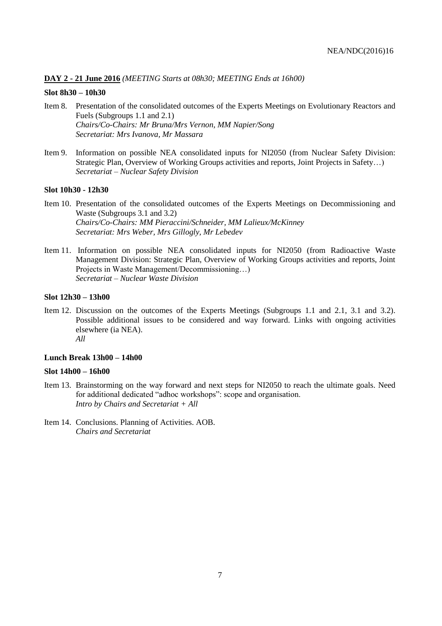#### **DAY 2 - 21 June 2016** *(MEETING Starts at 08h30; MEETING Ends at 16h00)*

#### **Slot 8h30 – 10h30**

- Item 8. Presentation of the consolidated outcomes of the Experts Meetings on Evolutionary Reactors and Fuels (Subgroups 1.1 and 2.1) *Chairs/Co-Chairs: Mr Bruna/Mrs Vernon, MM Napier/Song Secretariat: Mrs Ivanova, Mr Massara*
- Item 9. Information on possible NEA consolidated inputs for NI2050 (from Nuclear Safety Division: Strategic Plan, Overview of Working Groups activities and reports, Joint Projects in Safety…) *Secretariat – Nuclear Safety Division*

#### **Slot 10h30 - 12h30**

- Item 10. Presentation of the consolidated outcomes of the Experts Meetings on Decommissioning and Waste (Subgroups 3.1 and 3.2) *Chairs/Co-Chairs: MM Pieraccini/Schneider, MM Lalieux/McKinney Secretariat: Mrs Weber, Mrs Gillogly, Mr Lebedev*
- Item 11. Information on possible NEA consolidated inputs for NI2050 (from Radioactive Waste Management Division: Strategic Plan, Overview of Working Groups activities and reports, Joint Projects in Waste Management/Decommissioning…) *Secretariat – Nuclear Waste Division*

#### **Slot 12h30 – 13h00**

Item 12. Discussion on the outcomes of the Experts Meetings (Subgroups 1.1 and 2.1, 3.1 and 3.2). Possible additional issues to be considered and way forward. Links with ongoing activities elsewhere (ia NEA). *All*

#### **Lunch Break 13h00 – 14h00**

#### **Slot 14h00 – 16h00**

- Item 13. Brainstorming on the way forward and next steps for NI2050 to reach the ultimate goals. Need for additional dedicated "adhoc workshops": scope and organisation. *Intro by Chairs and Secretariat + All*
- Item 14. Conclusions. Planning of Activities. AOB. *Chairs and Secretariat*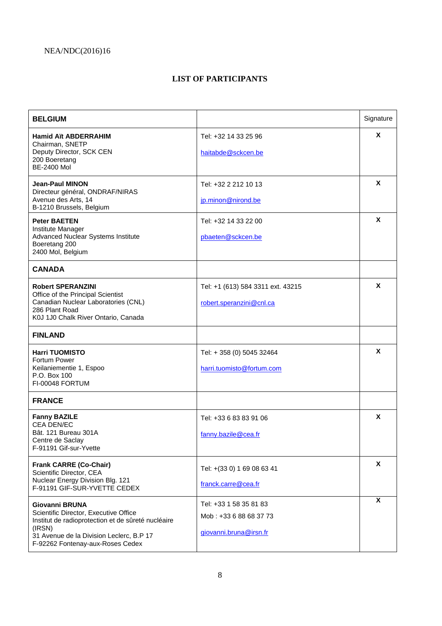## **LIST OF PARTICIPANTS**

| <b>BELGIUM</b>                                                                                                                                                                                          |                                                                            | Signature               |
|---------------------------------------------------------------------------------------------------------------------------------------------------------------------------------------------------------|----------------------------------------------------------------------------|-------------------------|
| <b>Hamid Aït ABDERRAHIM</b><br>Chairman, SNETP<br>Deputy Director, SCK CEN<br>200 Boeretang<br><b>BE-2400 Mol</b>                                                                                       | Tel: +32 14 33 25 96<br>haitabde@sckcen.be                                 | X                       |
| <b>Jean-Paul MINON</b><br>Directeur général, ONDRAF/NIRAS<br>Avenue des Arts, 14<br>B-1210 Brussels, Belgium                                                                                            | Tel: +32 2 212 10 13<br>jp.minon@nirond.be                                 | X                       |
| <b>Peter BAETEN</b><br>Institute Manager<br>Advanced Nuclear Systems Institute<br>Boeretang 200<br>2400 Mol, Belgium                                                                                    | Tel: +32 14 33 22 00<br>pbaeten@sckcen.be                                  | X                       |
| <b>CANADA</b>                                                                                                                                                                                           |                                                                            |                         |
| <b>Robert SPERANZINI</b><br>Office of the Principal Scientist<br>Canadian Nuclear Laboratories (CNL)<br>286 Plant Road<br>K0J 1J0 Chalk River Ontario, Canada                                           | Tel: +1 (613) 584 3311 ext. 43215<br>robert.speranzini@cnl.ca              | X                       |
| <b>FINLAND</b>                                                                                                                                                                                          |                                                                            |                         |
| <b>Harri TUOMISTO</b><br>Fortum Power<br>Keilaniementie 1, Espoo<br>P.O. Box 100<br>FI-00048 FORTUM                                                                                                     | Tel: + 358 (0) 5045 32464<br>harri.tuomisto@fortum.com                     | X                       |
| <b>FRANCE</b>                                                                                                                                                                                           |                                                                            |                         |
| <b>Fanny BAZILE</b><br><b>CEA DEN/EC</b><br>Bât. 121 Bureau 301A<br>Centre de Saclay<br>F-91191 Gif-sur-Yvette                                                                                          | Tel: +33 6 83 83 91 06<br>fanny.bazile@cea.fr                              | X                       |
| <b>Frank CARRE (Co-Chair)</b><br>Scientific Director, CEA<br>Nuclear Energy Division Blg. 121<br>F-91191 GIF-SUR-YVETTE CEDEX                                                                           | Tel: +(33 0) 1 69 08 63 41<br>franck.carre@cea.fr                          | X                       |
| Giovanni BRUNA<br>Scientific Director, Executive Office<br>Institut de radioprotection et de sûreté nucléaire<br>(IRSN)<br>31 Avenue de la Division Leclerc, B.P 17<br>F-92262 Fontenay-aux-Roses Cedex | Tel: +33 1 58 35 81 83<br>Mob: +33 6 88 68 37 73<br>giovanni.bruna@irsn.fr | $\overline{\mathbf{x}}$ |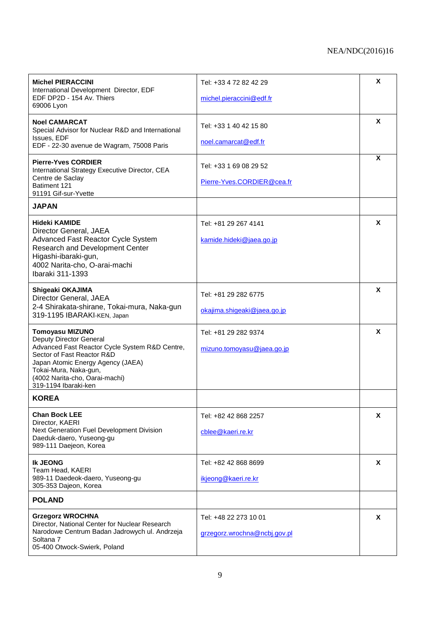| <b>Michel PIERACCINI</b><br>International Development Director, EDF<br>EDF DP2D - 154 Av. Thiers<br>69006 Lyon                                                                                                                                                   | Tel: +33 4 72 82 42 29                             | X |
|------------------------------------------------------------------------------------------------------------------------------------------------------------------------------------------------------------------------------------------------------------------|----------------------------------------------------|---|
|                                                                                                                                                                                                                                                                  | michel.pieraccini@edf.fr                           |   |
| <b>Noel CAMARCAT</b><br>Special Advisor for Nuclear R&D and International                                                                                                                                                                                        | Tel: +33 1 40 42 15 80                             | X |
| Issues, EDF<br>EDF - 22-30 avenue de Wagram, 75008 Paris                                                                                                                                                                                                         | noel.camarcat@edf.fr                               |   |
| <b>Pierre-Yves CORDIER</b><br>International Strategy Executive Director, CEA<br>Centre de Saclay<br>Batiment 121<br>91191 Gif-sur-Yvette                                                                                                                         | Tel: +33 1 69 08 29 52                             | X |
|                                                                                                                                                                                                                                                                  | Pierre-Yves.CORDIER@cea.fr                         |   |
| <b>JAPAN</b>                                                                                                                                                                                                                                                     |                                                    |   |
| <b>Hideki KAMIDE</b><br>Director General, JAEA                                                                                                                                                                                                                   | Tel: +81 29 267 4141                               | X |
| Advanced Fast Reactor Cycle System<br>Research and Development Center<br>Higashi-ibaraki-gun,<br>4002 Narita-cho, O-arai-machi<br>Ibaraki 311-1393                                                                                                               | kamide.hideki@jaea.go.jp                           |   |
| Shigeaki OKAJIMA<br>Director General, JAEA                                                                                                                                                                                                                       | Tel: +81 29 282 6775                               | X |
| 2-4 Shirakata-shirane, Tokai-mura, Naka-gun<br>319-1195 IBARAKI-KEN, Japan                                                                                                                                                                                       | okajima.shigeaki@jaea.go.jp                        |   |
| <b>Tomoyasu MIZUNO</b><br><b>Deputy Director General</b><br>Advanced Fast Reactor Cycle System R&D Centre,<br>Sector of Fast Reactor R&D<br>Japan Atomic Energy Agency (JAEA)<br>Tokai-Mura, Naka-gun,<br>(4002 Narita-cho, Oarai-machi)<br>319-1194 Ibaraki-ken | Tel: +81 29 282 9374<br>mizuno.tomoyasu@jaea.go.jp | X |
| <b>KOREA</b>                                                                                                                                                                                                                                                     |                                                    |   |
| Chan Bock LEE<br>Director, KAERI                                                                                                                                                                                                                                 | Tel: +82 42 868 2257                               | X |
| Next Generation Fuel Development Division<br>Daeduk-daero, Yuseong-gu<br>989-111 Daejeon, Korea                                                                                                                                                                  | cblee@kaeri.re.kr                                  |   |
| <b>Ik JEONG</b><br>Team Head, KAERI                                                                                                                                                                                                                              | Tel: +82 42 868 8699                               | X |
| 989-11 Daedeok-daero, Yuseong-gu<br>305-353 Dajeon, Korea                                                                                                                                                                                                        | ikjeong@kaeri.re.kr                                |   |
| <b>POLAND</b>                                                                                                                                                                                                                                                    |                                                    |   |
| <b>Grzegorz WROCHNA</b><br>Director, National Center for Nuclear Research                                                                                                                                                                                        | Tel: +48 22 273 10 01                              | X |
| Narodowe Centrum Badan Jadrowych ul. Andrzeja<br>Soltana 7<br>05-400 Otwock-Swierk, Poland                                                                                                                                                                       | grzegorz.wrochna@ncbj.gov.pl                       |   |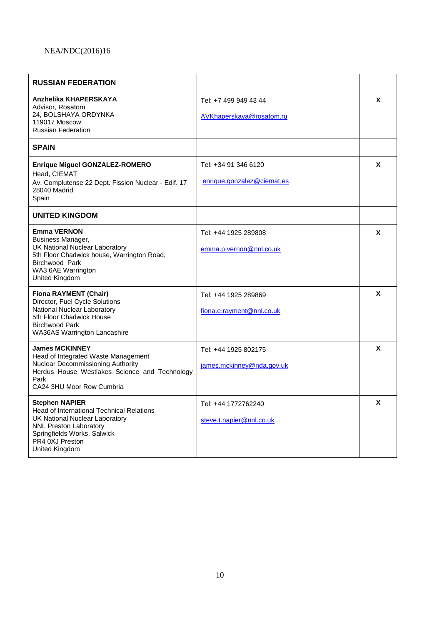| <b>RUSSIAN FEDERATION</b>                                                                                                                                                                                        |                                                    |   |
|------------------------------------------------------------------------------------------------------------------------------------------------------------------------------------------------------------------|----------------------------------------------------|---|
| Anzhelika KHAPERSKAYA<br>Advisor, Rosatom<br>24, BOLSHAYA ORDYNKA<br>119017 Moscow<br><b>Russian Federation</b>                                                                                                  | Tel: +7 499 949 43 44<br>AVKhaperskaya@rosatom.ru  | X |
| <b>SPAIN</b>                                                                                                                                                                                                     |                                                    |   |
| Enrique Miguel GONZALEZ-ROMERO<br>Head, CIEMAT<br>Av. Complutense 22 Dept. Fission Nuclear - Edif. 17<br>28040 Madrid<br>Spain                                                                                   | Tel: +34 91 346 6120<br>enrique.gonzalez@ciemat.es | X |
| <b>UNITED KINGDOM</b>                                                                                                                                                                                            |                                                    |   |
| <b>Emma VERNON</b><br>Business Manager,<br>UK National Nuclear Laboratory<br>5th Floor Chadwick house, Warrington Road,<br><b>Birchwood Park</b><br>WA3 6AE Warrington<br>United Kingdom                         | Tel: +44 1925 289808<br>emma.p.vernon@nnl.co.uk    | X |
| <b>Fiona RAYMENT (Chair)</b><br>Director, Fuel Cycle Solutions<br>National Nuclear Laboratory<br>5th Floor Chadwick House<br><b>Birchwood Park</b><br><b>WA36AS Warrington Lancashire</b>                        | Tel: +44 1925 289869<br>fiona.e.rayment@nnl.co.uk  | X |
| <b>James MCKINNEY</b><br>Head of Integrated Waste Management<br><b>Nuclear Decommissioning Authority</b><br>Herdus House Westlakes Science and Technology<br>Park<br>CA24 3HU Moor Row Cumbria                   | Tel: +44 1925 802175<br>james.mckinney@nda.gov.uk  | X |
| <b>Stephen NAPIER</b><br><b>Head of International Technical Relations</b><br>UK National Nuclear Laboratory<br><b>NNL Preston Laboratory</b><br>Springfields Works, Salwick<br>PR4 0XJ Preston<br>United Kingdom | Tel: +44 1772762240<br>steve.t.napier@nnl.co.uk    | X |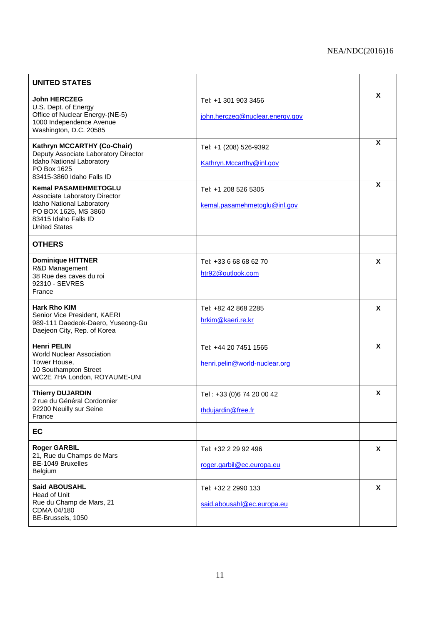| <b>UNITED STATES</b>                                                                                                                                              |                                                         |          |
|-------------------------------------------------------------------------------------------------------------------------------------------------------------------|---------------------------------------------------------|----------|
| <b>John HERCZEG</b><br>U.S. Dept. of Energy<br>Office of Nuclear Energy-(NE-5)<br>1000 Independence Avenue<br>Washington, D.C. 20585                              | Tel: +1 301 903 3456<br>john.herczeg@nuclear.energy.gov | X        |
| Kathryn MCCARTHY (Co-Chair)<br>Deputy Associate Laboratory Director<br>Idaho National Laboratory<br>PO Box 1625<br>83415-3860 Idaho Falls ID                      | Tel: +1 (208) 526-9392<br>Kathryn.Mccarthy@inl.gov      | X        |
| <b>Kemal PASAMEHMETOGLU</b><br>Associate Laboratory Director<br>Idaho National Laboratory<br>PO BOX 1625, MS 3860<br>83415 Idaho Falls ID<br><b>United States</b> | Tel: +1 208 526 5305<br>kemal.pasamehmetoglu@inl.gov    | X        |
| <b>OTHERS</b>                                                                                                                                                     |                                                         |          |
| <b>Dominique HITTNER</b><br>R&D Management<br>38 Rue des caves du roi<br>92310 - SEVRES<br>France                                                                 | Tel: +33 6 68 68 62 70<br>htr92@outlook.com             | X        |
| <b>Hark Rho KIM</b><br>Senior Vice President, KAERI<br>989-111 Daedeok-Daero, Yuseong-Gu<br>Daejeon City, Rep. of Korea                                           | Tel: +82 42 868 2285<br>hrkim@kaeri.re.kr               | X        |
| <b>Henri PELIN</b><br><b>World Nuclear Association</b><br>Tower House,<br>10 Southampton Street<br>WC2E 7HA London, ROYAUME-UNI                                   | Tel: +44 20 7451 1565<br>henri.pelin@world-nuclear.org  | X        |
| <b>Thierry DUJARDIN</b><br>2 rue du Général Cordonnier<br>92200 Neuilly sur Seine<br>France                                                                       | Tel: +33 (0)6 74 20 00 42<br>thdujardin@free.fr         | X        |
| EC                                                                                                                                                                |                                                         |          |
| <b>Roger GARBIL</b><br>21, Rue du Champs de Mars<br>BE-1049 Bruxelles<br>Belgium                                                                                  | Tel: +32 2 29 92 496<br>roger.garbil@ec.europa.eu       | <b>X</b> |
| <b>Said ABOUSAHL</b><br>Head of Unit<br>Rue du Champ de Mars, 21<br>CDMA 04/180<br>BE-Brussels, 1050                                                              | Tel: +32 2 2990 133<br>said.abousahl@ec.europa.eu       | X        |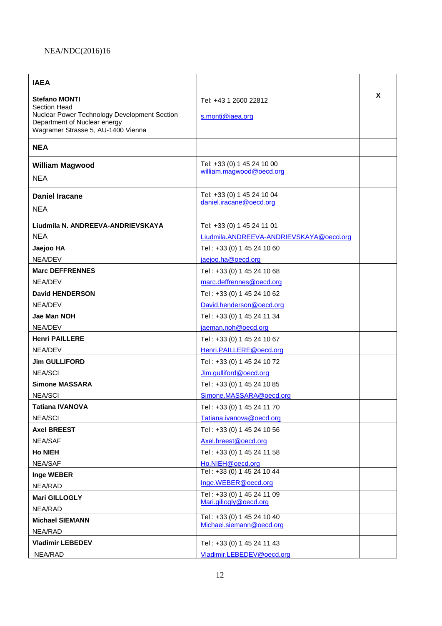| <b>IAEA</b>                                                                                                                                                       |                                                                                 |   |
|-------------------------------------------------------------------------------------------------------------------------------------------------------------------|---------------------------------------------------------------------------------|---|
| <b>Stefano MONTI</b><br><b>Section Head</b><br>Nuclear Power Technology Development Section<br>Department of Nuclear energy<br>Wagramer Strasse 5, AU-1400 Vienna | Tel: +43 1 2600 22812<br>s.monti@iaea.org                                       | X |
| <b>NEA</b>                                                                                                                                                        |                                                                                 |   |
| <b>William Magwood</b><br><b>NEA</b>                                                                                                                              | Tel: +33 (0) 1 45 24 10 00<br>william.magwood@oecd.org                          |   |
| <b>Daniel Iracane</b><br><b>NEA</b>                                                                                                                               | Tel: +33 (0) 1 45 24 10 04<br>daniel.iracane@oecd.org                           |   |
| Liudmila N. ANDREEVA-ANDRIEVSKAYA<br><b>NEA</b>                                                                                                                   | Tel: +33 (0) 1 45 24 11 01<br>Liudmila.ANDREEVA-ANDRIEVSKAYA@oecd.org           |   |
| Jaejoo HA<br>NEA/DEV                                                                                                                                              | Tel: +33 (0) 1 45 24 10 60<br>jaejoo.ha@oecd.org                                |   |
| <b>Marc DEFFRENNES</b><br>NEA/DEV                                                                                                                                 | Tel: +33 (0) 1 45 24 10 68<br>marc.deffrennes@oecd.org                          |   |
| <b>David HENDERSON</b><br>NEA/DEV                                                                                                                                 | Tel: +33 (0) 1 45 24 10 62<br>David.henderson@oecd.org                          |   |
| Jae Man NOH                                                                                                                                                       | Tel: +33 (0) 1 45 24 11 34                                                      |   |
| NEA/DEV<br><b>Henri PAILLERE</b>                                                                                                                                  | jaeman.noh@oecd.org<br>Tel: +33 (0) 1 45 24 10 67                               |   |
| NEA/DEV<br><b>Jim GULLIFORD</b><br><b>NEA/SCI</b>                                                                                                                 | Henri.PAILLERE@oecd.org<br>Tel: +33 (0) 1 45 24 10 72<br>Jim.qulliford@oecd.org |   |
| <b>Simone MASSARA</b><br><b>NEA/SCI</b>                                                                                                                           | Tel: +33 (0) 1 45 24 10 85<br>Simone.MASSARA@oecd.org                           |   |
| <b>Tatiana IVANOVA</b><br><b>NEA/SCI</b>                                                                                                                          | Tel: +33 (0) 1 45 24 11 70<br>Tatiana.ivanova@oecd.org                          |   |
| <b>Axel BREEST</b><br><b>NEA/SAF</b>                                                                                                                              | Tel: +33 (0) 1 45 24 10 56<br>Axel.breest@oecd.org                              |   |
| <b>Ho NIEH</b><br>NEA/SAF                                                                                                                                         | Tel: +33 (0) 1 45 24 11 58<br>Ho.NIEH@oecd.org                                  |   |
| Inge WEBER<br>NEA/RAD                                                                                                                                             | Tel: +33 (0) 1 45 24 10 44<br>Inge.WEBER@oecd.org                               |   |
| Mari GILLOGLY<br>NEA/RAD                                                                                                                                          | Tel: +33 (0) 1 45 24 11 09<br>Mari.gillogly@oecd.org                            |   |
| <b>Michael SIEMANN</b><br>NEA/RAD                                                                                                                                 | Tel: +33 (0) 1 45 24 10 40<br>Michael.siemann@oecd.org                          |   |
| <b>Vladimir LEBEDEV</b><br>NEA/RAD                                                                                                                                | Tel: +33 (0) 1 45 24 11 43<br>Vladimir.LEBEDEV@oecd.org                         |   |